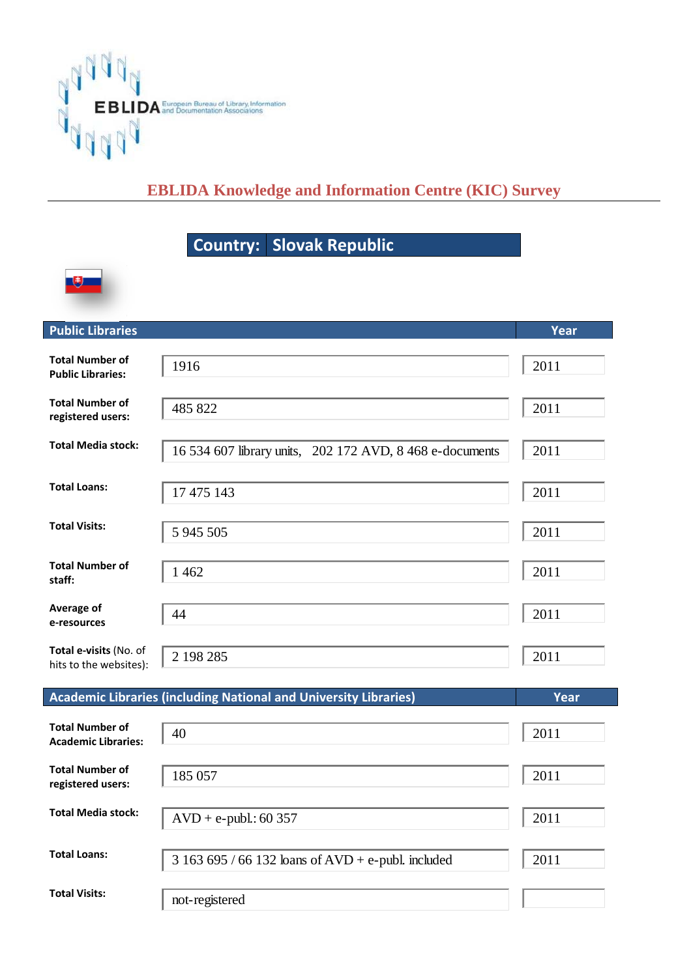

## **EBLIDA Knowledge and Information Centre (KIC) Survey**

## **Country: Slovak Republic**



| <b>Public Libraries</b>                            |                                                          | Year |
|----------------------------------------------------|----------------------------------------------------------|------|
| <b>Total Number of</b><br><b>Public Libraries:</b> | 1916                                                     | 2011 |
| <b>Total Number of</b><br>registered users:        | 485 822                                                  | 2011 |
| <b>Total Media stock:</b>                          | 16 534 607 library units, 202 172 AVD, 8 468 e-documents | 2011 |
| <b>Total Loans:</b>                                | 17 475 143                                               | 2011 |
| <b>Total Visits:</b>                               | 5 945 505                                                | 2011 |
| <b>Total Number of</b><br>staff:                   | 1 4 6 2                                                  | 2011 |
| Average of<br>e-resources                          | 44                                                       | 2011 |
| Total e-visits (No. of<br>hits to the websites):   | 2 198 285                                                | 2011 |

| <b>Academic Libraries (including National and University Libraries)</b> | Year                                            |      |
|-------------------------------------------------------------------------|-------------------------------------------------|------|
| <b>Total Number of</b><br><b>Academic Libraries:</b>                    | 40                                              | 2011 |
| <b>Total Number of</b><br>registered users:                             | 185 057                                         | 2011 |
| Total Media stock:                                                      | $AVD + e$ -publ.: 60 357                        | 2011 |
| <b>Total Loans:</b>                                                     | $3163695/66132$ loans of AVD + e-publ. included | 2011 |
| <b>Total Visits:</b>                                                    | not-registered                                  |      |